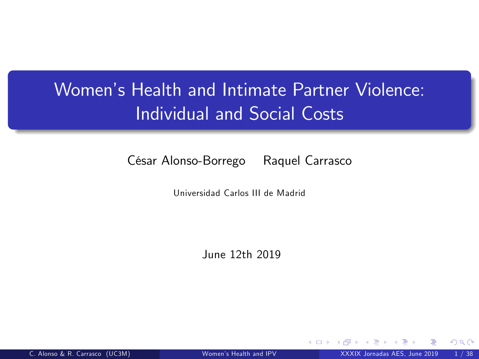## Women's Health and Intimate Partner Violence: Individual and Social Costs

#### César Alonso-Borrego Raquel Carrasco

Universidad Carlos III de Madrid

June 12th 2019

<span id="page-0-0"></span>4 0 8 1

C. Alonso & R. Carrasco (UC3M) Women's Health and IPV XXXIX Jornadas AES, June 2019 1/38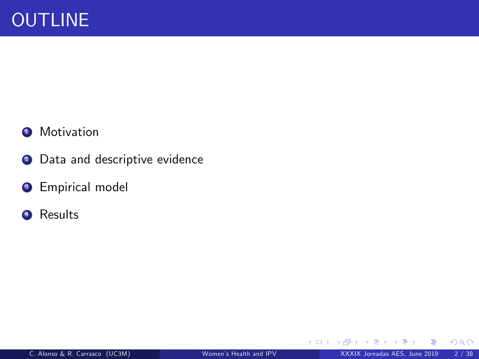#### <sup>4</sup> Motivation

- <sup>2</sup> Data and descriptive evidence
- <sup>3</sup> Empirical model
- <sup>4</sup> Results

**≮ロ ▶ ⊀ 伊 ▶** 

 $\mathcal{A}$  . E K  $299$ 

重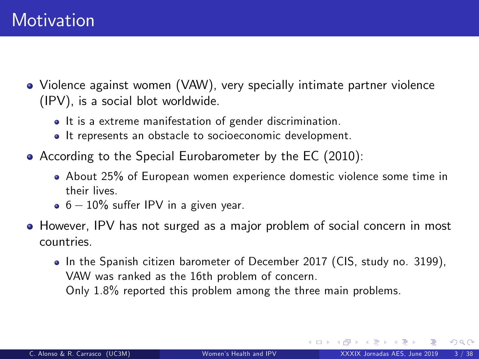- Violence against women (VAW), very specially intimate partner violence (IPV), is a social blot worldwide.
	- It is a extreme manifestation of gender discrimination.
	- It represents an obstacle to socioeconomic development.
- According to the Special Eurobarometer by the EC (2010):
	- About 25% of European women experience domestic violence some time in their lives.
	- $\bullet$  6 10% suffer IPV in a given year.
- However, IPV has not surged as a major problem of social concern in most countries.
	- In the Spanish citizen barometer of December 2017 (CIS, study no. 3199), VAW was ranked as the 16th problem of concern. Only 1.8% reported this problem among the three main problems.

**K ロ ▶ K 何 ▶ K 手**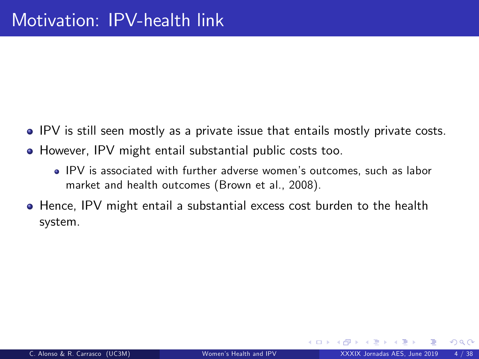- IPV is still seen mostly as a private issue that entails mostly private costs.
- However, IPV might entail substantial public costs too.
	- IPV is associated with further adverse womenís outcomes, such as labor market and health outcomes (Brown et al., 2008).
- **•** Hence, IPV might entail a substantial excess cost burden to the health system.

4 0 3 4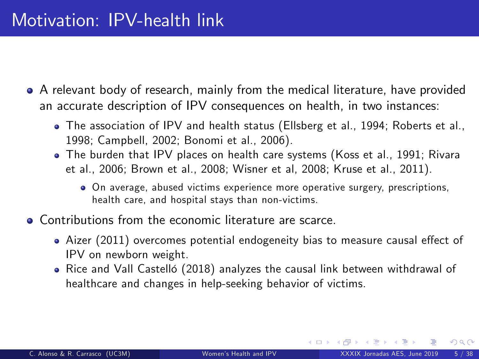- A relevant body of research, mainly from the medical literature, have provided an accurate description of IPV consequences on health, in two instances:
	- The association of IPV and health status (Ellsberg et al., 1994; Roberts et al., 1998; Campbell, 2002; Bonomi et al., 2006).
	- The burden that IPV places on health care systems (Koss et al., 1991; Rivara et al., 2006; Brown et al., 2008; Wisner et al, 2008; Kruse et al., 2011).
		- On average, abused victims experience more operative surgery, prescriptions, health care, and hospital stays than non-victims.
- Contributions from the economic literature are scarce.
	- Aizer (2011) overcomes potential endogeneity bias to measure causal effect of IPV on newborn weight.
	- Rice and Vall Castelló (2018) analyzes the causal link between withdrawal of healthcare and changes in help-seeking behavior of victims.

**K ロ ▶ K 何 ▶ K**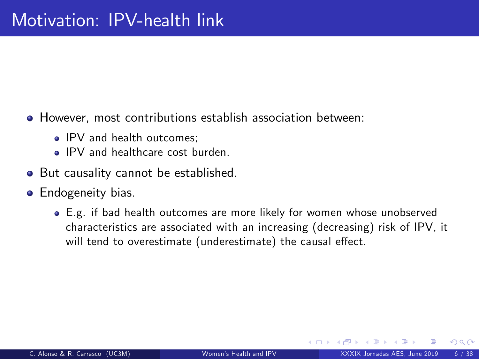- However, most contributions establish association between:
	- IPV and health outcomes:
	- IPV and healthcare cost burden.
- But causality cannot be established.
- **•** Endogeneity bias.
	- E.g. if bad health outcomes are more likely for women whose unobserved characteristics are associated with an increasing (decreasing) risk of IPV, it will tend to overestimate (underestimate) the causal effect.

イロト イ币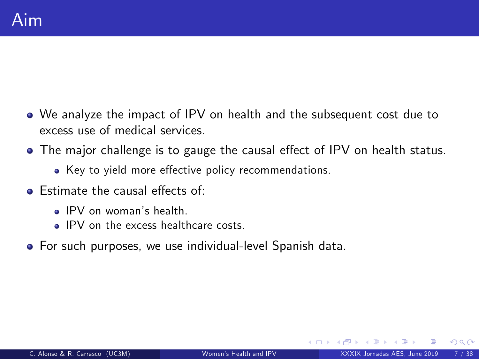- We analyze the impact of IPV on health and the subsequent cost due to excess use of medical services.
- The major challenge is to gauge the causal effect of IPV on health status.
	- Key to yield more effective policy recommendations.
- $\bullet$  Estimate the causal effects of:
	- **a** IPV on woman's health.
	- IPV on the excess healthcare costs.
- For such purposes, we use individual-level Spanish data.

**∢ ロ ≯ - ∢ 何**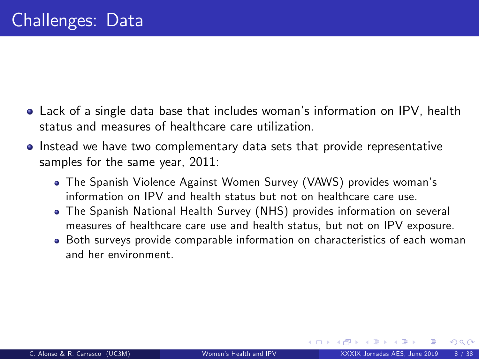- Lack of a single data base that includes womanís information on IPV, health status and measures of healthcare care utilization.
- Instead we have two complementary data sets that provide representative samples for the same year, 2011:
	- The Spanish Violence Against Women Survey (VAWS) provides womanís information on IPV and health status but not on healthcare care use.
	- The Spanish National Health Survey (NHS) provides information on several measures of healthcare care use and health status, but not on IPV exposure.
	- Both surveys provide comparable information on characteristics of each woman and her environment.

**←ロ ▶ ← イ 同 →**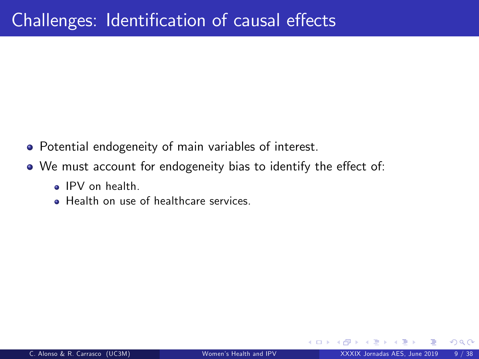- Potential endogeneity of main variables of interest.
- We must account for endogeneity bias to identify the effect of:
	- IPV on health.
	- **Health on use of healthcare services**

4 **D** F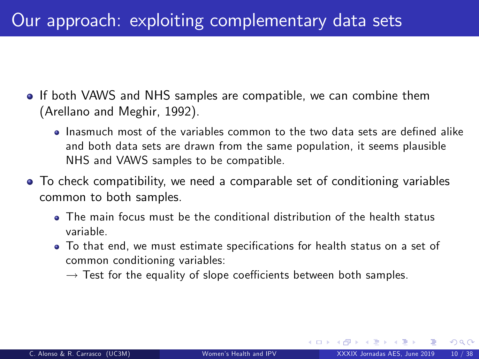## Our approach: exploiting complementary data sets

- **If both VAWS and NHS samples are compatible, we can combine them** (Arellano and Meghir, 1992).
	- Inasmuch most of the variables common to the two data sets are defined alike and both data sets are drawn from the same population, it seems plausible NHS and VAWS samples to be compatible.
- To check compatibility, we need a comparable set of conditioning variables common to both samples.
	- The main focus must be the conditional distribution of the health status variable.
	- $\bullet$  To that end, we must estimate specifications for health status on a set of common conditioning variables:
		- $\rightarrow$  Test for the equality of slope coefficients between both samples.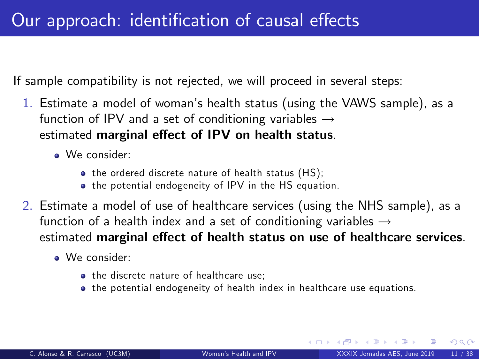If sample compatibility is not rejected, we will proceed in several steps:

- 1. Estimate a model of womanís health status (using the VAWS sample), as a function of IPV and a set of conditioning variables  $\rightarrow$ estimated marginal effect of IPV on health status.
	- We consider:
		- the ordered discrete nature of health status (HS);
		- the potential endogeneity of IPV in the HS equation.
- 2. Estimate a model of use of healthcare services (using the NHS sample), as a function of a health index and a set of conditioning variables  $\rightarrow$ estimated marginal effect of health status on use of healthcare services.
	- We consider:
		- **a** the discrete nature of healthcare use;
		- the potential endogeneity of health index in healthcare use equations.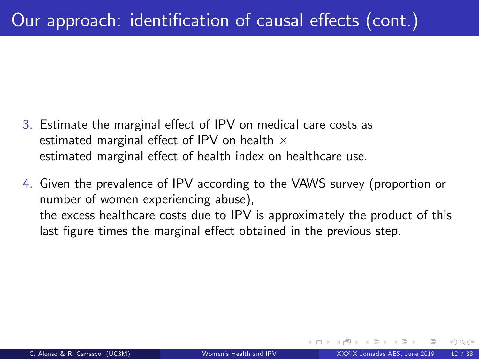- 3. Estimate the marginal effect of IPV on medical care costs as estimated marginal effect of IPV on health  $\times$ estimated marginal effect of health index on healthcare use.
- 4. Given the prevalence of IPV according to the VAWS survey (proportion or number of women experiencing abuse), the excess healthcare costs due to IPV is approximately the product of this last figure times the marginal effect obtained in the previous step.

 $\cap$   $\circ$   $\circ$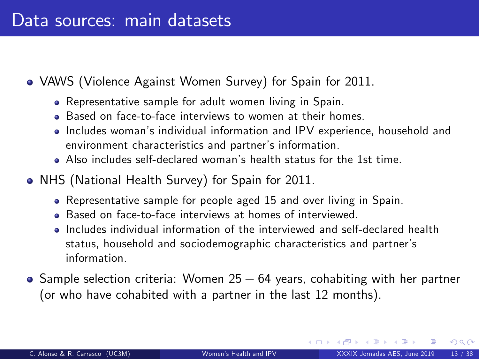- VAWS (Violence Against Women Survey) for Spain for 2011.
	- Representative sample for adult women living in Spain.
	- **Based on face-to-face interviews to women at their homes.**
	- Includes womanís individual information and IPV experience, household and environment characteristics and partner's information.
	- Also includes self-declared womanís health status for the 1st time.
- NHS (National Health Survey) for Spain for 2011.
	- Representative sample for people aged 15 and over living in Spain.
	- Based on face-to-face interviews at homes of interviewed.
	- Includes individual information of the interviewed and self-declared health status, household and sociodemographic characteristics and partner's information.
- $\bullet$  Sample selection criteria: Women 25  $-$  64 years, cohabiting with her partner (or who have cohabited with a partner in the last 12 months).

**←ロ ▶ ← イ 同 →**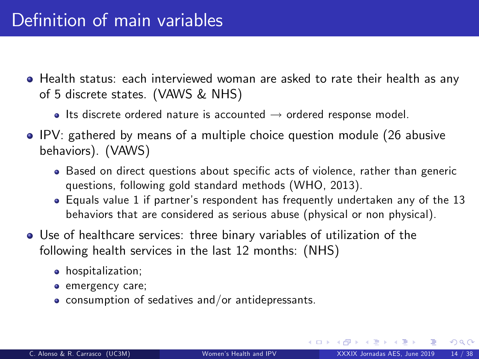- Health status: each interviewed woman are asked to rate their health as any of 5 discrete states. (VAWS & NHS)
	- $\bullet$  Its discrete ordered nature is accounted  $\rightarrow$  ordered response model.
- IPV: gathered by means of a multiple choice question module (26 abusive behaviors). (VAWS)
	- Based on direct questions about specific acts of violence, rather than generic questions, following gold standard methods (WHO, 2013).
	- Equals value 1 if partnerís respondent has frequently undertaken any of the 13 behaviors that are considered as serious abuse (physical or non physical).
- Use of healthcare services: three binary variables of utilization of the following health services in the last 12 months: (NHS)
	- hospitalization;
	- **e** emergency care;
	- $\bullet$  consumption of sedatives and/or antidepressants.

イロト イ押 トイヨ トイヨ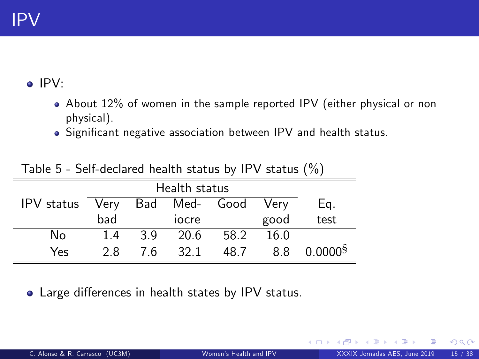IPV:

- About 12% of women in the sample reported IPV (either physical or non physical).
- Significant negative association between IPV and health status.

|            | Health status |    |               |      |             |                       |
|------------|---------------|----|---------------|------|-------------|-----------------------|
| IPV status | Very          |    | Bad Med- Good |      | <b>Verv</b> | Eq.                   |
|            | bad           |    | iocre         |      | good        | test                  |
| No         | 1.4           | 39 | 20.6          | 58.2 | 16.0        |                       |
| Yes        | 28            | 76 | 32.1          | 48.7 | 8.8         | $0.0000$ <sup>§</sup> |

Table 5 - Self-declared health status by IPV status (%)

• Large differences in health states by IPV status.

<span id="page-14-0"></span> $\Omega$ 

4 0 8 4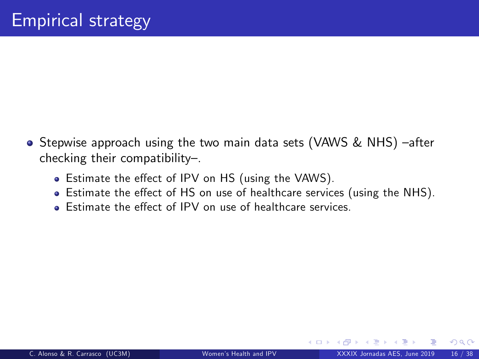- Stepwise approach using the two main data sets (VAWS & NHS) -after checking their compatibility $-$ .
	- Estimate the effect of IPV on HS (using the VAWS).
	- Estimate the effect of HS on use of healthcare services (using the NHS).
	- **Estimate the effect of IPV on use of healthcare services.**

<span id="page-15-0"></span>4 0 3 4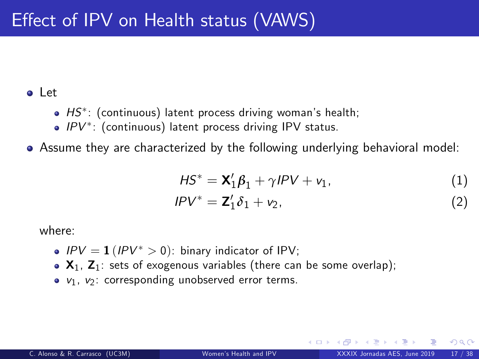#### Let

- $HS^*$ : (continuous) latent process driving woman's health;
- $IPV^*$ : (continuous) latent process driving IPV status.
- Assume they are characterized by the following underlying behavioral model:

<span id="page-16-0"></span>
$$
HS^* = \mathbf{X}_1' \boldsymbol{\beta}_1 + \gamma \textit{IPV} + \mathbf{v}_1, \tag{1}
$$

<span id="page-16-1"></span>
$$
IPV^* = \mathbf{Z}_1' \delta_1 + \mathbf{v}_2, \tag{2}
$$

where:

- $IPV = 1 (IPV^* > 0)$ : binary indicator of IPV;
- $\bullet$   $X_1$ ,  $Z_1$ : sets of exogenous variables (there can be some overlap);
- $v_1$ ,  $v_2$ : corresponding unobserved error terms.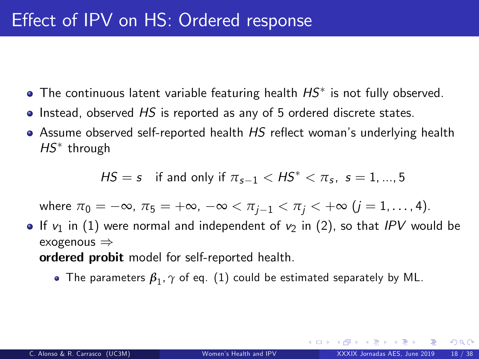- The continuous latent variable featuring health  $H S^\ast$  is not fully observed.
- $\bullet$  Instead, observed HS is reported as any of 5 ordered discrete states.
- $\bullet$  Assume observed self-reported health HS reflect woman's underlying health  $HS^*$  through

$$
HS = s \quad \text{if and only if } \pi_{s-1} < HS^* < \pi_s, \ s = 1, \dots, 5
$$

where  $\pi_0 = -\infty$ ,  $\pi_5 = +\infty$ ,  $-\infty < \pi_{i-1} < \pi_i < +\infty$  (j = 1, ..., 4).

- If  $v_1$  in [\(1\)](#page-16-0) were normal and independent of  $v_2$  in [\(2\)](#page-16-1), so that IPV would be exogenous  $\Rightarrow$ ordered probit model for self-reported health.
	- The parameters  $\pmb{\beta}_1, \gamma$  of eq.  $(1)$  could be estimated separately by ML.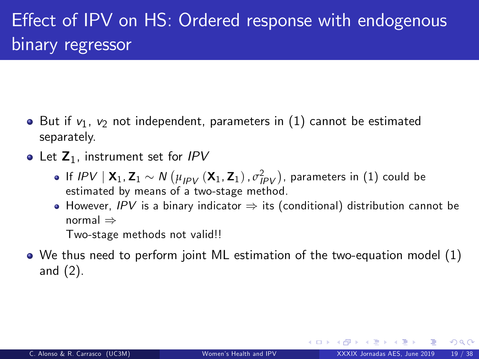- $\bullet$  But if  $v_1$ ,  $v_2$  not independent, parameters in [\(1\)](#page-16-0) cannot be estimated separately.
- Let  $Z_1$ , instrument set for IPV
	- If  $IPV \mid \mathbf{X}_1, \mathbf{Z}_1 \sim N\left(\mu_{IPV}\left(\mathbf{X}_1, \mathbf{Z}_1\right), \sigma^2_{IPV}\right)$ , parameters in  $(1)$  could be estimated by means of a two-stage method.
	- $\bullet$  However, IPV is a binary indicator  $\Rightarrow$  its (conditional) distribution cannot be normal  $\Rightarrow$

Two-stage methods not valid!!

We thus need to perform joint ML estimation of the two-equation model [\(1\)](#page-16-0) and [\(2\)](#page-16-1).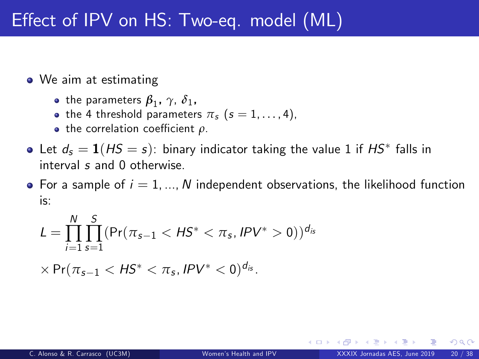- We aim at estimating
	- the parameters  $\beta_1^{}, \gamma, \delta_1^{},$
	- the 4 threshold parameters  $\pi_s$  (s = 1, ..., 4),
	- $\bullet$  the correlation coefficient  $\rho$ .
- Let  $d_s = \mathbf{1}(H S = s)$ : binary indicator taking the value 1 if  $H S^*$  falls in interval s and 0 otherwise.
- For a sample of  $i = 1, ..., N$  independent observations, the likelihood function is:

$$
L = \prod_{i=1}^{N} \prod_{s=1}^{S} (Pr(\pi_{s-1} < H S^* < \pi_s, I P V^* > 0))^{d_{is}}
$$

$$
\times\Pr(\pi_{s-1}<\mathsf{H}\mathsf{S}^*<\pi_s,\mathsf{IPV}^*<0)^{d_{is}}.
$$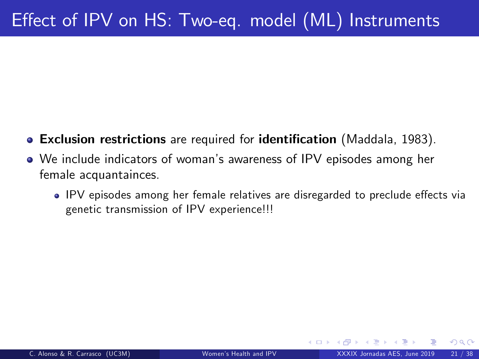- Exclusion restrictions are required for identification (Maddala, 1983).
- <span id="page-20-0"></span>We include indicators of womanís awareness of IPV episodes among her female acquantainces.
	- IPV episodes among her female relatives are disregarded to preclude effects via genetic transmission of IPV experience!!!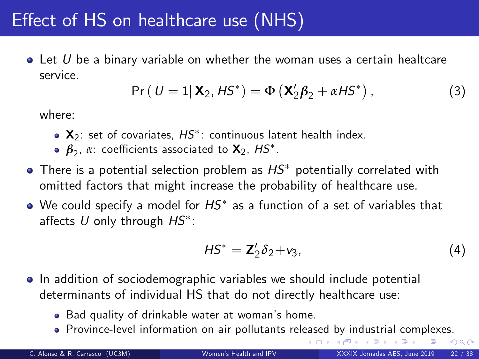## Effect of HS on healthcare use (NHS)

 $\bullet$  Let U be a binary variable on whether the woman uses a certain healtcare service.

$$
Pr (U = 1 | \mathbf{X}_2, H\mathbf{S}^*) = \Phi (\mathbf{X}_2' \boldsymbol{\beta}_2 + \alpha H\mathbf{S}^*) ,
$$
 (3)

where:

- $\mathbf{X}_2$ : set of covariates,  $HS^*$ : continuous latent health index.
- $\pmb{\beta}_2$ , α: coefficients associated to **X**<sub>2</sub>,  $HS^*$ .
- $\bullet$  There is a potential selection problem as  $HS^*$  potentially correlated with omitted factors that might increase the probability of healthcare use.
- We could specify a model for  $H S^{\ast}$  as a function of a set of variables that affects  $U$  only through  $H\!S^*$ :

$$
HS^* = \mathbf{Z}'_2 \delta_2 + \mathbf{v}_3,\tag{4}
$$

<span id="page-21-0"></span>(□ ) (f)

- In addition of sociodemographic variables we should include potential determinants of individual HS that do not directly healthcare use:
	- . Bad quality of drinkable water at woman's home.
	- Province-level information on air pollutants rel[eas](#page-20-0)e[d](#page-22-0) [b](#page-20-0)[y i](#page-21-0)[nd](#page-22-0)[u](#page-20-0)[s](#page-21-0)[tr](#page-22-0)[ia](#page-23-0)[l](#page-14-0) [c](#page-15-0)[o](#page-23-0)[m](#page-24-0)[pl](#page-0-0)[exes](#page-37-0).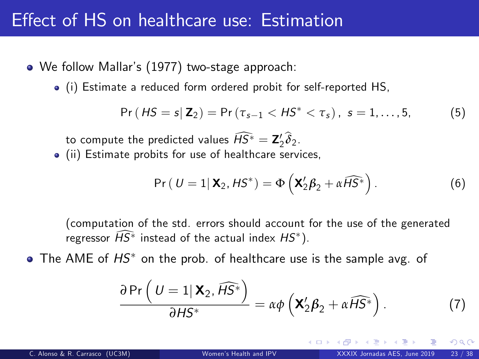#### Effect of HS on healthcare use: Estimation

- We follow Mallar's (1977) two-stage approach:
	- (i) Estimate a reduced form ordered probit for self-reported HS,

$$
Pr(HS = s | \mathbf{Z}_2) = Pr(\tau_{s-1} < HS^* < \tau_s), \ s = 1, \ldots, 5, \tag{5}
$$

to compute the predicted values  $HS^* = \mathbf{Z}'_2 \delta_2$ .

(ii) Estimate probits for use of healthcare services,

$$
Pr ( U = 1 | \mathbf{X}_2, HS^* ) = \Phi \left( \mathbf{X}_2^{\prime} \boldsymbol{\beta}_2 + \alpha \widehat{HS}^* \right).
$$
 (6)

(computation of the std. errors should account for the use of the generated regressor  $HS^*$  instead of the actual index  $HS^*$ ).

 $\bullet$  The AME of  $HS^*$  on the prob. of healthcare use is the sample avg. of

<span id="page-22-0"></span>
$$
\frac{\partial \Pr\left(U=1 | \mathbf{X}_2, \widehat{H} \widehat{S^*}\right)}{\partial H S^*} = \alpha \phi \left(\mathbf{X}_2' \boldsymbol{\beta}_2 + \alpha \widehat{H} \widehat{S^*}\right).
$$
 (7)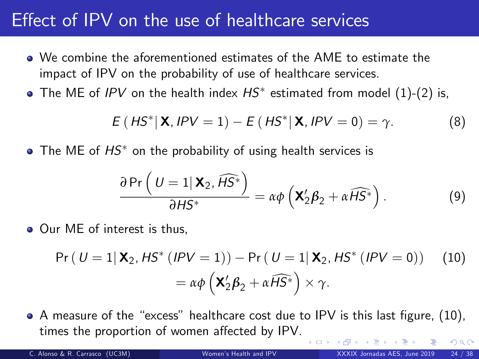## Effect of  $IPV$  on the use of healthcare services

- We combine the aforementioned estimates of the AME to estimate the impact of IPV on the probability of use of healthcare services.
- The ME of *IPV* on the health index  $HS^*$  estimated from model  $(1)$ - $(2)$  is,

$$
E(HS^*|X, IPV = 1) - E(HS^*|X, IPV = 0) = \gamma.
$$
 (8)

• The ME of  $HS^*$  on the probability of using health services is

<span id="page-23-1"></span><span id="page-23-0"></span>
$$
\frac{\partial \Pr\left(U=1 | \mathbf{X}_2, \widehat{H\mathcal{S}^*}\right)}{\partial H\mathcal{S}^*} = \alpha \phi \left(\mathbf{X}_2^{\prime} \boldsymbol{\beta}_2 + \alpha \widehat{H\mathcal{S}^*}\right).
$$
 (9)

• Our ME of interest is thus,

$$
Pr ( U = 1 | \mathbf{X}_2, HS^* (IPV = 1)) - Pr ( U = 1 | \mathbf{X}_2, HS^* (IPV = 0))
$$
 (10)  
=  $\alpha \phi \left( \mathbf{X}_2' \boldsymbol{\beta}_2 + \alpha \widehat{HS}^* \right) \times \gamma$ .

 $\bullet$  A measure of the "excess" healthcare cost due to IPV is this last figure, [\(10\)](#page-23-1), times the proportion of women affected by IPV.  $\Omega$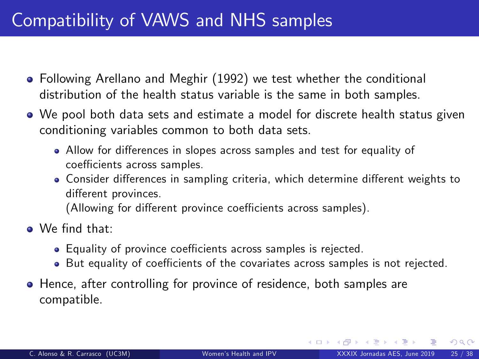## Compatibility of VAWS and NHS samples

- Following Arellano and Meghir (1992) we test whether the conditional distribution of the health status variable is the same in both samples.
- We pool both data sets and estimate a model for discrete health status given conditioning variables common to both data sets.
	- Allow for differences in slopes across samples and test for equality of coefficients across samples.
	- Consider differences in sampling criteria, which determine different weights to different provinces.

(Allowing for different province coefficients across samples).

- O We find that:
	- Equality of province coefficients across samples is rejected.
	- But equality of coefficients of the covariates across samples is not rejected.
- **•** Hence, after controlling for province of residence, both samples are compatible.

<span id="page-24-0"></span> $\Omega$ 

**K ロ ▶ K 何 ▶ K**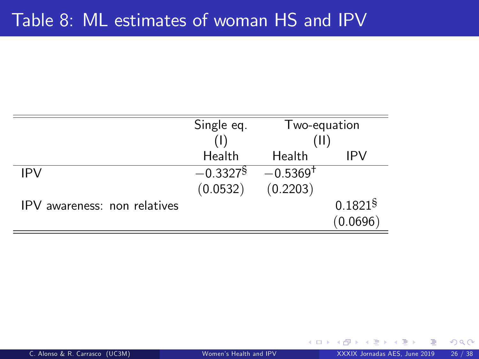## Table 8: ML estimates of woman HS and IPV

|                              | Single eq.             | Two-equation           |                     |
|------------------------------|------------------------|------------------------|---------------------|
|                              |                        | (11)                   |                     |
|                              | Health                 | Health                 | IPV                 |
| <b>IPV</b>                   | $-0.3327$ <sup>§</sup> | $-0.5369$ <sup>+</sup> |                     |
|                              | (0.0532)               | (0.2203)               |                     |
| IPV awareness: non relatives |                        |                        | 0.1821 <sup>§</sup> |
|                              |                        |                        | (0.0696)            |

**∢ ロ ▶ 《 何** 

 $299$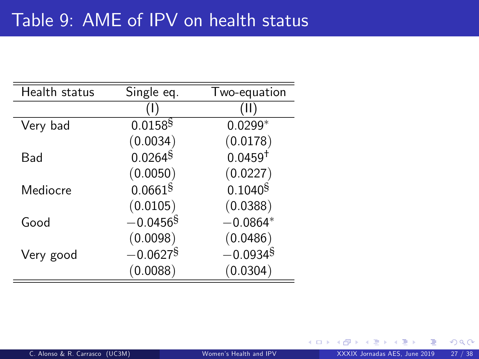| Health status | Single eq.             | Two-equation           |
|---------------|------------------------|------------------------|
|               |                        | ( I I )                |
| Very bad      | $0.0158$ <sup>§</sup>  | $0.0299*$              |
|               | (0.0034)               | (0.0178)               |
| Bad           | $0.0264$ <sup>§</sup>  | $0.0459^{+}$           |
|               | (0.0050)               | (0.0227)               |
| Mediocre      | $0.0661$ <sup>§</sup>  | $0.1040^{\$}$          |
|               | (0.0105)               | (0.0388)               |
| Good          | $-0.0456$ <sup>§</sup> | $-0.0864*$             |
|               | (0.0098)               | (0.0486)               |
| Very good     | $-0.0627$ <sup>§</sup> | $-0.0934$ <sup>§</sup> |
|               | (0.0088)               | (0.0304)               |

4 0 8 4

 $299$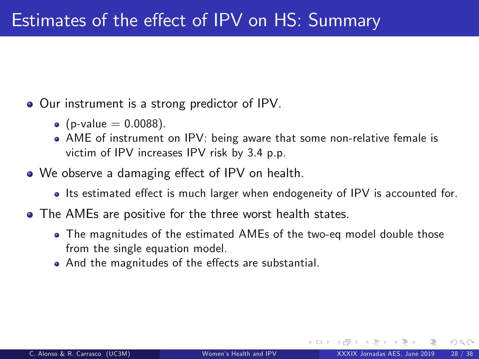- Our instrument is a strong predictor of IPV.
	- (p-value  $= 0.0088$ ).
	- AME of instrument on IPV: being aware that some non-relative female is victim of IPV increases IPV risk by 3.4 p.p.
- We observe a damaging effect of IPV on health.
	- Its estimated effect is much larger when endogeneity of IPV is accounted for.
- The AMEs are positive for the three worst health states.
	- The magnitudes of the estimated AMEs of the two-eq model double those from the single equation model.
	- And the magnitudes of the effects are substantial.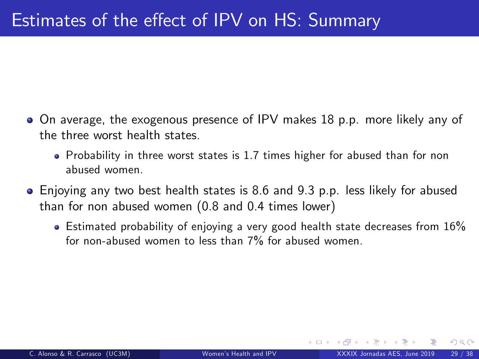- On average, the exogenous presence of IPV makes 18 p.p. more likely any of the three worst health states.
	- Probability in three worst states is 1.7 times higher for abused than for non abused women.
- Enjoying any two best health states is 8.6 and 9.3 p.p. less likely for abused than for non abused women (0.8 and 0.4 times lower)
	- $\bullet$  Estimated probability of enjoying a very good health state decreases from 16% for non-abused women to less than 7% for abused women.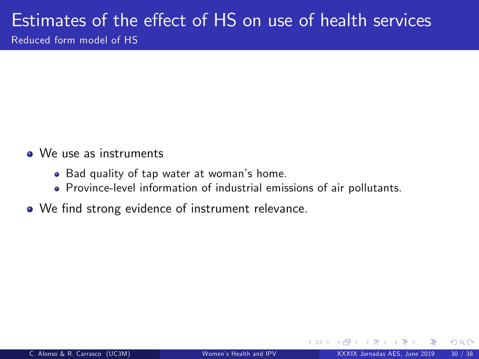#### Estimates of the effect of HS on use of health services Reduced form model of HS

- We use as instruments
	- Bad quality of tap water at woman's home.
	- Province-level information of industrial emissions of air pollutants.
- We find strong evidence of instrument relevance.

4 **D** F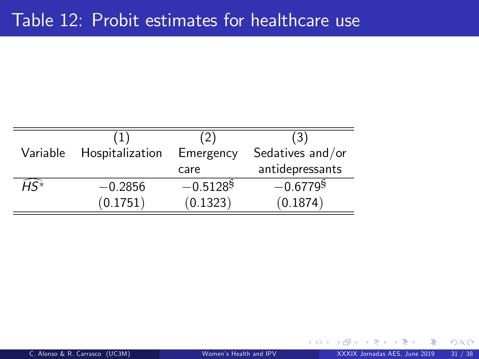|                  | (1)             | (2)                    | (3)                    |
|------------------|-----------------|------------------------|------------------------|
| Variable         | Hospitalization | Emergency              | Sedatives and/or       |
|                  |                 | care                   | antidepressants        |
| $\widehat{H}S^*$ | $-0.2856$       | $-0.5128$ <sup>§</sup> | $-0.6779$ <sup>§</sup> |
|                  | (0.1751)        | (0.1323)               | (0.1874)               |

つへへ

4 0 8 1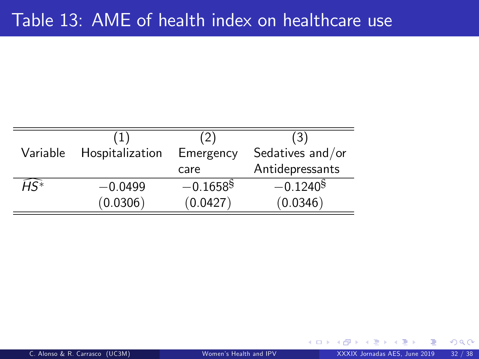|                  | (1)             | (2)                    | (3)              |
|------------------|-----------------|------------------------|------------------|
| Variable         | Hospitalization | Emergency              | Sedatives and/or |
|                  |                 | care                   | Antidepressants  |
| $\widehat{H}S^*$ | $-0.0499$       | $-0.1658$ <sup>§</sup> | $-0.1240§$       |
|                  | (0.0306)        | (0.0427)               | (0.0346)         |

4 0 8 4

 $299$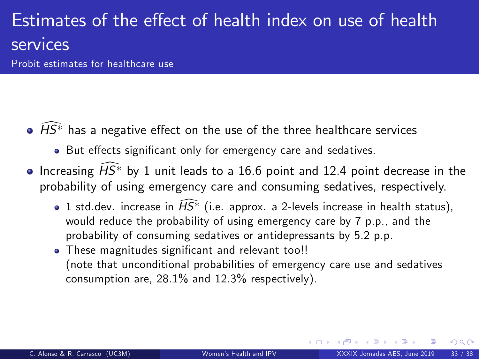# Estimates of the effect of health index on use of health services

Probit estimates for healthcare use

- $\widehat{\phantom{a}}$   $\widehat{HS}^*$  has a negative effect on the use of the three healthcare services
	- But effects significant only for emergency care and sedatives.
- $\bullet$  Increasing  $\widehat{HS}^*$  by 1 unit leads to a 16.6 point and 12.4 point decrease in the probability of using emergency care and consuming sedatives, respectively.
	- 1 std.dev. increase in  $\widehat{HS}^*$  (i.e. approx. a 2-levels increase in health status), would reduce the probability of using emergency care by 7 p.p., and the probability of consuming sedatives or antidepressants by 5.2 p.p.
	- . These magnitudes significant and relevant too!! (note that unconditional probabilities of emergency care use and sedatives consumption are, 28.1% and 12.3% respectively).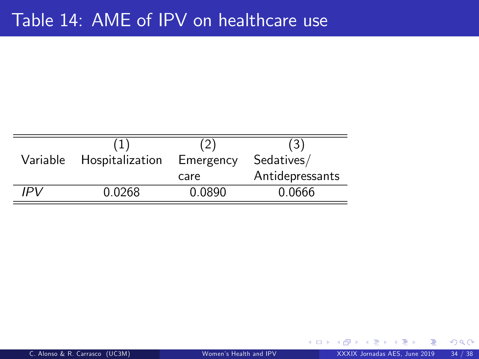| Variable | Hospitalization | Emergency | Sedatives/      |
|----------|-----------------|-----------|-----------------|
|          |                 | care      | Antidepressants |
| IPV      | 0.0268          | 0.0890    | 0.0666          |

**∢ ロ ▶ 《 何** 

 $299$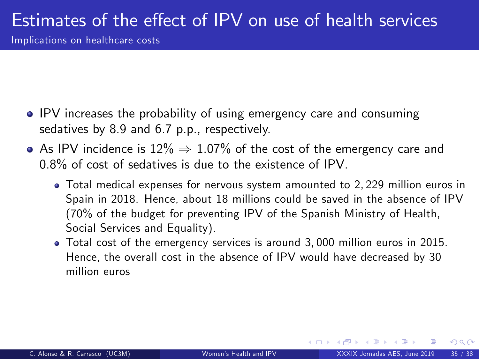# Estimates of the effect of IPV on use of health services

Implications on healthcare costs

- IPV increases the probability of using emergency care and consuming sedatives by 8.9 and 6.7 p.p., respectively.
- $\bullet$  As IPV incidence is 12%  $\Rightarrow$  1.07% of the cost of the emergency care and 0.8% of cost of sedatives is due to the existence of IPV.
	- Total medical expenses for nervous system amounted to 2, 229 million euros in Spain in 2018. Hence, about 18 millions could be saved in the absence of IPV (70% of the budget for preventing IPV of the Spanish Ministry of Health, Social Services and Equality).
	- Total cost of the emergency services is around 3, 000 million euros in 2015. Hence, the overall cost in the absence of IPV would have decreased by 30 million euros

 $\Omega$ 

**← ロ ▶ → ← 同**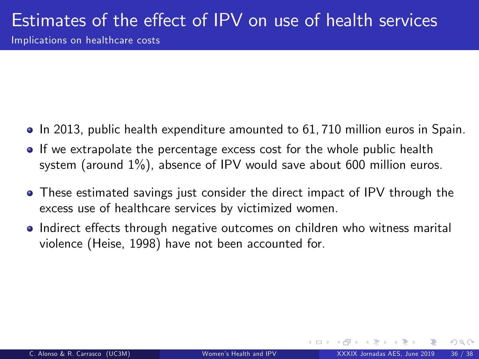# Estimates of the effect of IPV on use of health services

Implications on healthcare costs

- In 2013, public health expenditure amounted to 61, 710 million euros in Spain.
- **If we extrapolate the percentage excess cost for the whole public health** system (around 1%), absence of IPV would save about 600 million euros.
- These estimated savings just consider the direct impact of IPV through the excess use of healthcare services by victimized women.
- Indirect effects through negative outcomes on children who witness marital violence (Heise, 1998) have not been accounted for.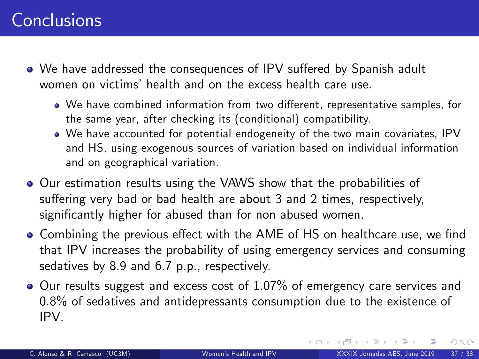## **Conclusions**

- We have addressed the consequences of IPV suffered by Spanish adult women on victims' health and on the excess health care use.
	- We have combined information from two different, representative samples, for the same year, after checking its (conditional) compatibility.
	- We have accounted for potential endogeneity of the two main covariates, IPV and HS, using exogenous sources of variation based on individual information and on geographical variation.
- Our estimation results using the VAWS show that the probabilities of suffering very bad or bad health are about 3 and 2 times, respectively, significantly higher for abused than for non abused women.
- Combining the previous effect with the AME of HS on healthcare use, we find that IPV increases the probability of using emergency services and consuming sedatives by 8.9 and 6.7 p.p., respectively.
- $\bullet$  Our results suggest and excess cost of 1.07% of emergency care services and 0.8% of sedatives and antidepressants consumption due to the existence of IPV.

 $\Omega$ 

 $\left\{ \begin{array}{ccc} \square & \rightarrow & \left\{ \bigcap \mathbb{P} \right\} & \left\{ \begin{array}{ccc} \square & \rightarrow & \left\{ \end{array} \right\} \end{array} \right.$